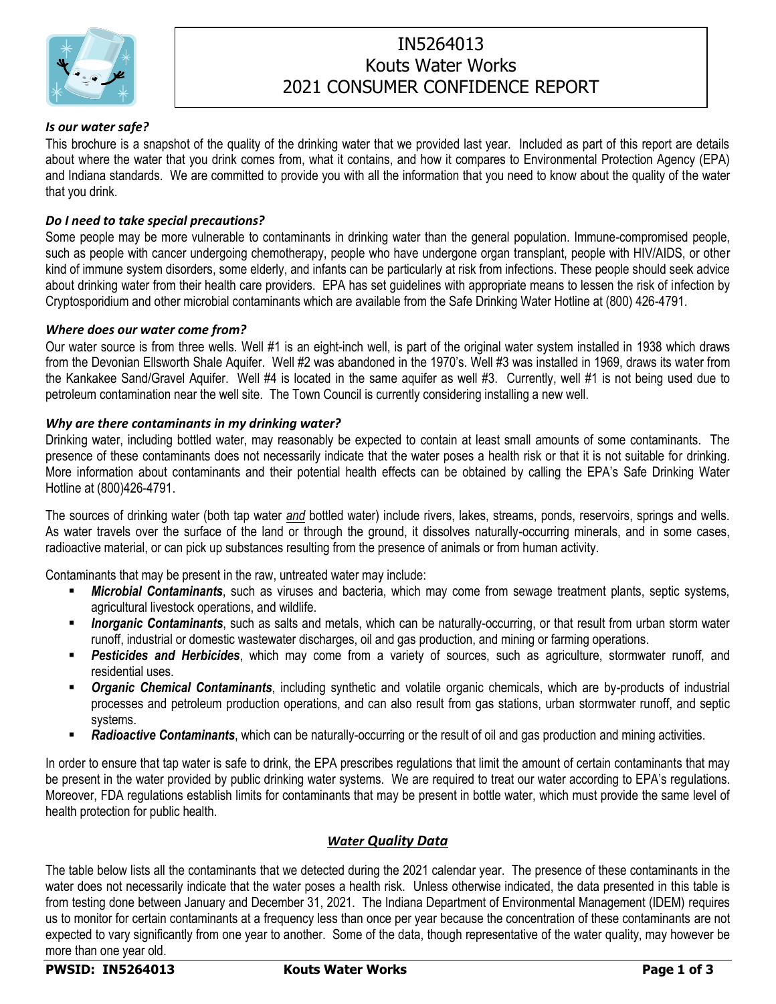

# IN5264013 Kouts Water Works 2021 CONSUMER CONFIDENCE REPORT

# *Is our water safe?*

This brochure is a snapshot of the quality of the drinking water that we provided last year. Included as part of this report are details about where the water that you drink comes from, what it contains, and how it compares to Environmental Protection Agency (EPA) and Indiana standards. We are committed to provide you with all the information that you need to know about the quality of the water that you drink.

### *Do I need to take special precautions?*

Some people may be more vulnerable to contaminants in drinking water than the general population. Immune-compromised people, such as people with cancer undergoing chemotherapy, people who have undergone organ transplant, people with HIV/AIDS, or other kind of immune system disorders, some elderly, and infants can be particularly at risk from infections. These people should seek advice about drinking water from their health care providers. EPA has set guidelines with appropriate means to lessen the risk of infection by Cryptosporidium and other microbial contaminants which are available from the Safe Drinking Water Hotline at (800) 426-4791.

### *Where does our water come from?*

Our water source is from three wells. Well #1 is an eight-inch well, is part of the original water system installed in 1938 which draws from the Devonian Ellsworth Shale Aquifer. Well #2 was abandoned in the 1970's. Well #3 was installed in 1969, draws its water from the Kankakee Sand/Gravel Aquifer. Well #4 is located in the same aquifer as well #3. Currently, well #1 is not being used due to petroleum contamination near the well site. The Town Council is currently considering installing a new well.

### *Why are there contaminants in my drinking water?*

Drinking water, including bottled water, may reasonably be expected to contain at least small amounts of some contaminants. The presence of these contaminants does not necessarily indicate that the water poses a health risk or that it is not suitable for drinking. More information about contaminants and their potential health effects can be obtained by calling the EPA's Safe Drinking Water Hotline at (800)426-4791.

The sources of drinking water (both tap water *and* bottled water) include rivers, lakes, streams, ponds, reservoirs, springs and wells. As water travels over the surface of the land or through the ground, it dissolves naturally-occurring minerals, and in some cases, radioactive material, or can pick up substances resulting from the presence of animals or from human activity.

Contaminants that may be present in the raw, untreated water may include:

- **Microbial Contaminants**, such as viruses and bacteria, which may come from sewage treatment plants, septic systems, agricultural livestock operations, and wildlife.
- **Inorganic Contaminants**, such as salts and metals, which can be naturally-occurring, or that result from urban storm water runoff, industrial or domestic wastewater discharges, oil and gas production, and mining or farming operations.
- **Pesticides and Herbicides**, which may come from a variety of sources, such as agriculture, stormwater runoff, and residential uses.
- **Organic Chemical Contaminants**, including synthetic and volatile organic chemicals, which are by-products of industrial processes and petroleum production operations, and can also result from gas stations, urban stormwater runoff, and septic systems.
- **Radioactive Contaminants**, which can be naturally-occurring or the result of oil and gas production and mining activities.

In order to ensure that tap water is safe to drink, the EPA prescribes regulations that limit the amount of certain contaminants that may be present in the water provided by public drinking water systems. We are required to treat our water according to EPA's regulations. Moreover, FDA regulations establish limits for contaminants that may be present in bottle water, which must provide the same level of health protection for public health.

# *Water Quality Data*

The table below lists all the contaminants that we detected during the 2021 calendar year. The presence of these contaminants in the water does not necessarily indicate that the water poses a health risk. Unless otherwise indicated, the data presented in this table is from testing done between January and December 31, 2021. The Indiana Department of Environmental Management (IDEM) requires us to monitor for certain contaminants at a frequency less than once per year because the concentration of these contaminants are not expected to vary significantly from one year to another. Some of the data, though representative of the water quality, may however be more than one year old.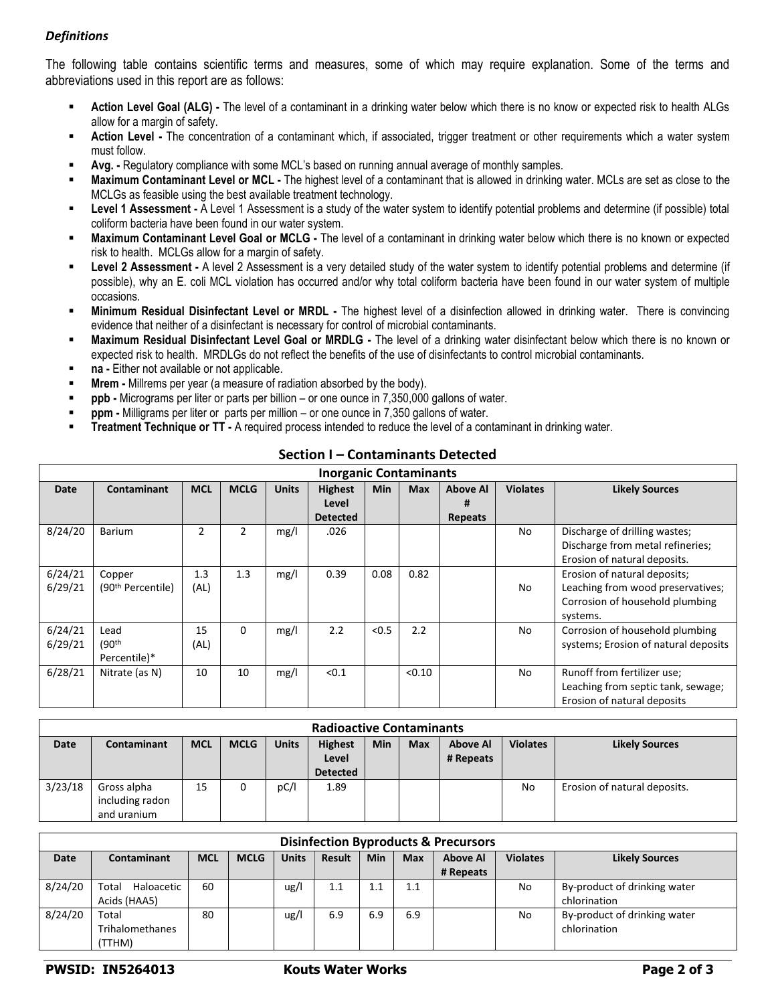# *Definitions*

The following table contains scientific terms and measures, some of which may require explanation. Some of the terms and abbreviations used in this report are as follows:

- Action Level Goal (ALG) The level of a contaminant in a drinking water below which there is no know or expected risk to health ALGs allow for a margin of safety.
- **EXECT Action Level -** The concentration of a contaminant which, if associated, trigger treatment or other requirements which a water system must follow.
- **Avg. -** Regulatory compliance with some MCL's based on running annual average of monthly samples.
- **Maximum Contaminant Level or MCL -** The highest level of a contaminant that is allowed in drinking water. MCLs are set as close to the MCLGs as feasible using the best available treatment technology.
- Level 1 Assessment A Level 1 Assessment is a study of the water system to identify potential problems and determine (if possible) total coliform bacteria have been found in our water system.
- **Maximum Contaminant Level Goal or MCLG The level of a contaminant in drinking water below which there is no known or expected** risk to health. MCLGs allow for a margin of safety.
- Level 2 Assessment A level 2 Assessment is a very detailed study of the water system to identify potential problems and determine (if possible), why an E. coli MCL violation has occurred and/or why total coliform bacteria have been found in our water system of multiple occasions.
- **Minimum Residual Disinfectant Level or MRDL -** The highest level of a disinfection allowed in drinking water. There is convincing evidence that neither of a disinfectant is necessary for control of microbial contaminants.
- Maximum Residual Disinfectant Level Goal or MRDLG The level of a drinking water disinfectant below which there is no known or expected risk to health. MRDLGs do not reflect the benefits of the use of disinfectants to control microbial contaminants.
- na Either not available or not applicable.
- **Mrem -** Millrems per year (a measure of radiation absorbed by the body).
- **ppb -** Micrograms per liter or parts per billion or one ounce in 7,350,000 gallons of water.
- **ppm -** Milligrams per liter or parts per million or one ounce in 7,350 gallons of water.
- **Treatment Technique or TT -** A required process intended to reduce the level of a contaminant in drinking water.

| <b>Inorganic Contaminants</b> |                                             |                |             |              |                                            |            |            |                                        |                 |                                                                                                                  |  |  |
|-------------------------------|---------------------------------------------|----------------|-------------|--------------|--------------------------------------------|------------|------------|----------------------------------------|-----------------|------------------------------------------------------------------------------------------------------------------|--|--|
| Date                          | Contaminant                                 | <b>MCL</b>     | <b>MCLG</b> | <b>Units</b> | <b>Highest</b><br>Level<br><b>Detected</b> | <b>Min</b> | <b>Max</b> | <b>Above Al</b><br>#<br><b>Repeats</b> | <b>Violates</b> | <b>Likely Sources</b>                                                                                            |  |  |
| 8/24/20                       | <b>Barium</b>                               | $\overline{2}$ | 2           | mg/l         | .026                                       |            |            |                                        | No              | Discharge of drilling wastes;<br>Discharge from metal refineries;<br>Erosion of natural deposits.                |  |  |
| 6/24/21<br>6/29/21            | Copper<br>(90 <sup>th</sup> Percentile)     | 1.3<br>(AL)    | 1.3         | mg/l         | 0.39                                       | 0.08       | 0.82       |                                        | No              | Erosion of natural deposits;<br>Leaching from wood preservatives;<br>Corrosion of household plumbing<br>systems. |  |  |
| 6/24/21<br>6/29/21            | Lead<br>(90 <sup>th</sup> )<br>Percentile)* | 15<br>(AL)     | 0           | mg/l         | 2.2                                        | < 0.5      | 2.2        |                                        | No              | Corrosion of household plumbing<br>systems; Erosion of natural deposits                                          |  |  |
| 6/28/21                       | Nitrate (as N)                              | 10             | 10          | mg/l         | < 0.1                                      |            | < 0.10     |                                        | No              | Runoff from fertilizer use;<br>Leaching from septic tank, sewage;<br>Erosion of natural deposits                 |  |  |

### **Section I – Contaminants Detected**

| <b>Radioactive Contaminants</b>                                                                                                                                               |                                |    |   |      |                 |  |  |           |    |                              |  |
|-------------------------------------------------------------------------------------------------------------------------------------------------------------------------------|--------------------------------|----|---|------|-----------------|--|--|-----------|----|------------------------------|--|
| <b>MCL</b><br><b>MCLG</b><br><b>Units</b><br>Min<br><b>Violates</b><br><b>Highest</b><br><b>Likely Sources</b><br>Date<br><b>Max</b><br><b>Above Al</b><br><b>Contaminant</b> |                                |    |   |      |                 |  |  |           |    |                              |  |
|                                                                                                                                                                               |                                |    |   |      | Level           |  |  | # Repeats |    |                              |  |
|                                                                                                                                                                               |                                |    |   |      | <b>Detected</b> |  |  |           |    |                              |  |
| 3/23/18                                                                                                                                                                       | Gross alpha<br>including radon | 15 | 0 | pC/l | 1.89            |  |  |           | No | Erosion of natural deposits. |  |
|                                                                                                                                                                               | and uranium                    |    |   |      |                 |  |  |           |    |                              |  |

| <b>Disinfection Byproducts &amp; Precursors</b> |                                     |            |             |              |         |     |            |                 |                 |                                              |  |
|-------------------------------------------------|-------------------------------------|------------|-------------|--------------|---------|-----|------------|-----------------|-----------------|----------------------------------------------|--|
| <b>Date</b>                                     | Contaminant                         | <b>MCL</b> | <b>MCLG</b> | <b>Units</b> | Result  | Min | <b>Max</b> | <b>Above Al</b> | <b>Violates</b> | <b>Likely Sources</b>                        |  |
|                                                 |                                     |            |             |              |         |     |            | # Repeats       |                 |                                              |  |
| 8/24/20                                         | Haloacetic<br>Total<br>Acids (HAA5) | 60         |             | ug/l         | $1.1\,$ | 1.1 | 1.1        |                 | No              | By-product of drinking water<br>chlorination |  |
| 8/24/20                                         | Total<br>Trihalomethanes<br>TTHM)   | 80         |             | ug/l         | 6.9     | 6.9 | 6.9        |                 | No              | By-product of drinking water<br>chlorination |  |